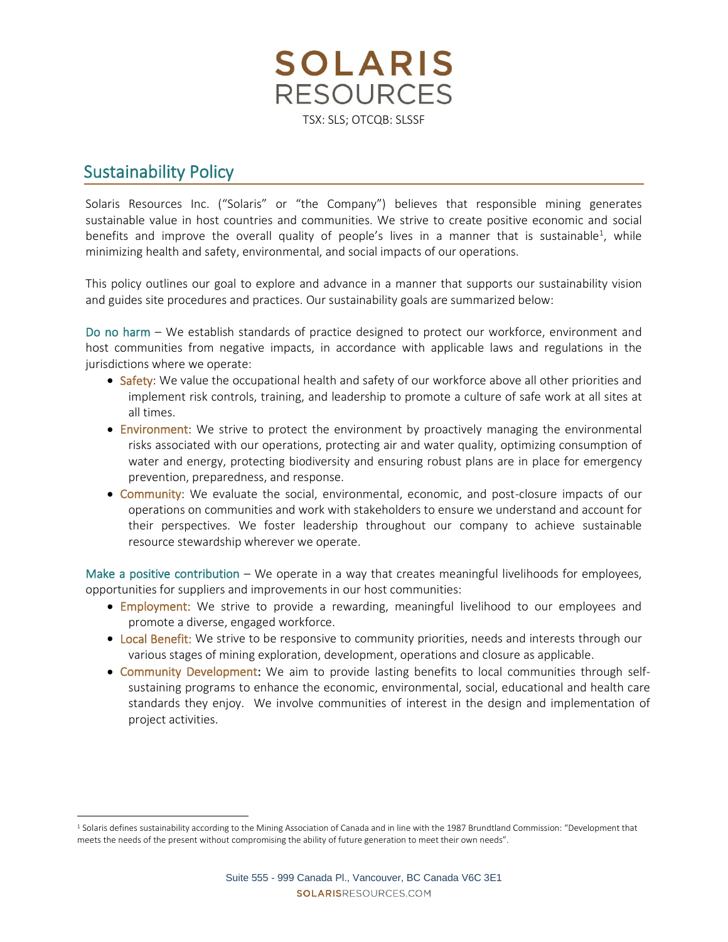**SOLARIS RESOURCES** TSX: SLS; OTCQB: SLSSF

## Sustainability Policy

Solaris Resources Inc. ("Solaris" or "the Company") believes that responsible mining generates sustainable value in host countries and communities. We strive to create positive economic and social benefits and improve the overall quality of people's lives in a manner that is sustainable<sup>1</sup>, while minimizing health and safety, environmental, and social impacts of our operations.

This policy outlines our goal to explore and advance in a manner that supports our sustainability vision and guides site procedures and practices. Our sustainability goals are summarized below:

Do no harm – We establish standards of practice designed to protect our workforce, environment and host communities from negative impacts, in accordance with applicable laws and regulations in the jurisdictions where we operate:

- Safety: We value the occupational health and safety of our workforce above all other priorities and implement risk controls, training, and leadership to promote a culture of safe work at all sites at all times.
- Environment: We strive to protect the environment by proactively managing the environmental risks associated with our operations, protecting air and water quality, optimizing consumption of water and energy, protecting biodiversity and ensuring robust plans are in place for emergency prevention, preparedness, and response.
- Community: We evaluate the social, environmental, economic, and post-closure impacts of our operations on communities and work with stakeholders to ensure we understand and account for their perspectives. We foster leadership throughout our company to achieve sustainable resource stewardship wherever we operate.

Make a positive contribution – We operate in a way that creates meaningful livelihoods for employees, opportunities for suppliers and improvements in our host communities:

- Employment: We strive to provide a rewarding, meaningful livelihood to our employees and promote a diverse, engaged workforce.
- Local Benefit: We strive to be responsive to community priorities, needs and interests through our various stages of mining exploration, development, operations and closure as applicable.
- Community Development: We aim to provide lasting benefits to local communities through selfsustaining programs to enhance the economic, environmental, social, educational and health care standards they enjoy. We involve communities of interest in the design and implementation of project activities.

<sup>&</sup>lt;sup>1</sup> Solaris defines sustainability according to the Mining Association of Canada and in line with the 1987 Brundtland Commission: "Development that meets the needs of the present without compromising the ability of future generation to meet their own needs".